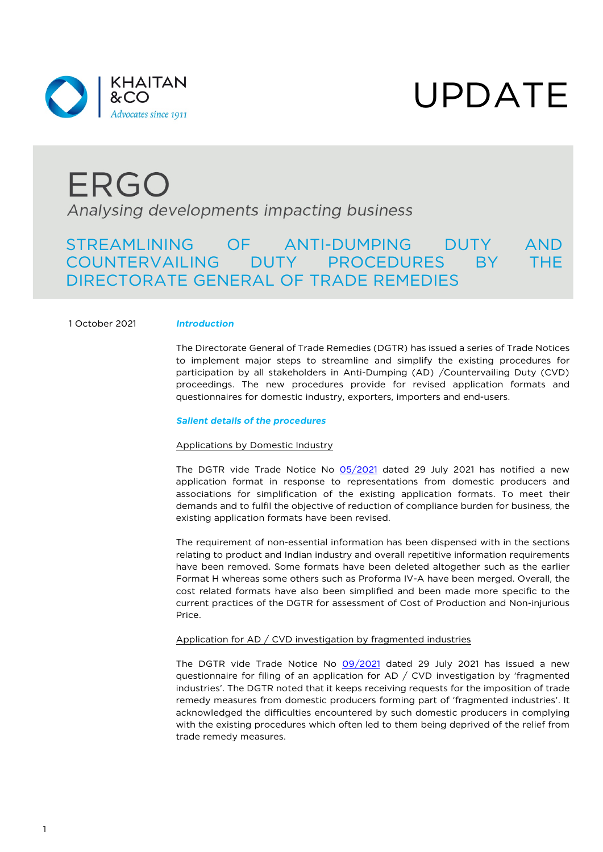

# UPDATE

### ERGO Analysing developments impacting business

### STREAMLINING OF ANTI-DUMPING DUTY AND COUNTERVAILING DUTY PROCEDURES BY THE DIRECTORATE GENERAL OF TRADE REMEDIES

#### 1 October 2021 *Introduction*

The Directorate General of Trade Remedies (DGTR) has issued a series of Trade Notices to implement major steps to streamline and simplify the existing procedures for participation by all stakeholders in Anti-Dumping (AD) /Countervailing Duty (CVD) proceedings. The new procedures provide for revised application formats and questionnaires for domestic industry, exporters, importers and end-users.

#### *Salient details of the procedures*

#### Applications by Domestic Industry

The DGTR vide Trade Notice No [05/2021](https://khaitanco.sharefile.com/share/view/s23dc7447c2954a13adca958bd773b85f) dated 29 July 2021 has notified a new application format in response to representations from domestic producers and associations for simplification of the existing application formats. To meet their demands and to fulfil the objective of reduction of compliance burden for business, the existing application formats have been revised.

The requirement of non-essential information has been dispensed with in the sections relating to product and Indian industry and overall repetitive information requirements have been removed. Some formats have been deleted altogether such as the earlier Format H whereas some others such as Proforma IV-A have been merged. Overall, the cost related formats have also been simplified and been made more specific to the current practices of the DGTR for assessment of Cost of Production and Non-injurious Price.

#### Application for AD / CVD investigation by fragmented industries

The DGTR vide Trade Notice No [09/2021](https://khaitanco.sharefile.com/share/view/s8246eb1edd1840f594979bbf9175f873) dated 29 July 2021 has issued a new questionnaire for filing of an application for AD / CVD investigation by 'fragmented industries'. The DGTR noted that it keeps receiving requests for the imposition of trade remedy measures from domestic producers forming part of 'fragmented industries'. It acknowledged the difficulties encountered by such domestic producers in complying with the existing procedures which often led to them being deprived of the relief from trade remedy measures.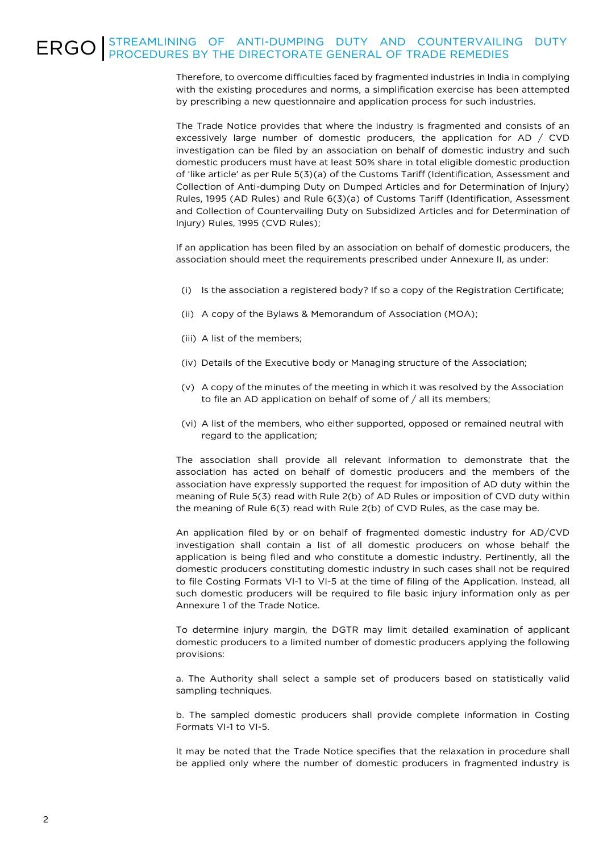## ERGO STREAMLINING OF ANTI-DUMPING DUTY AND COUNTERVAILING DUTY

Therefore, to overcome difficulties faced by fragmented industries in India in complying with the existing procedures and norms, a simplification exercise has been attempted by prescribing a new questionnaire and application process for such industries.

The Trade Notice provides that where the industry is fragmented and consists of an excessively large number of domestic producers, the application for AD / CVD investigation can be filed by an association on behalf of domestic industry and such domestic producers must have at least 50% share in total eligible domestic production of 'like article' as per Rule 5(3)(a) of the Customs Tariff (Identification, Assessment and Collection of Anti-dumping Duty on Dumped Articles and for Determination of Injury) Rules, 1995 (AD Rules) and Rule 6(3)(a) of Customs Tariff (Identification, Assessment and Collection of Countervailing Duty on Subsidized Articles and for Determination of Injury) Rules, 1995 (CVD Rules);

If an application has been filed by an association on behalf of domestic producers, the association should meet the requirements prescribed under Annexure II, as under:

- (i) Is the association a registered body? If so a copy of the Registration Certificate;
- (ii) A copy of the Bylaws & Memorandum of Association (MOA);
- (iii) A list of the members;
- (iv) Details of the Executive body or Managing structure of the Association;
- (v) A copy of the minutes of the meeting in which it was resolved by the Association to file an AD application on behalf of some of / all its members;
- (vi) A list of the members, who either supported, opposed or remained neutral with regard to the application;

The association shall provide all relevant information to demonstrate that the association has acted on behalf of domestic producers and the members of the association have expressly supported the request for imposition of AD duty within the meaning of Rule 5(3) read with Rule 2(b) of AD Rules or imposition of CVD duty within the meaning of Rule 6(3) read with Rule 2(b) of CVD Rules, as the case may be.

An application filed by or on behalf of fragmented domestic industry for AD/CVD investigation shall contain a list of all domestic producers on whose behalf the application is being filed and who constitute a domestic industry. Pertinently, all the domestic producers constituting domestic industry in such cases shall not be required to file Costing Formats VI-1 to VI-5 at the time of filing of the Application. Instead, all such domestic producers will be required to file basic injury information only as per Annexure 1 of the Trade Notice.

To determine injury margin, the DGTR may limit detailed examination of applicant domestic producers to a limited number of domestic producers applying the following provisions:

a. The Authority shall select a sample set of producers based on statistically valid sampling techniques.

b. The sampled domestic producers shall provide complete information in Costing Formats VI-1 to VI-5.

It may be noted that the Trade Notice specifies that the relaxation in procedure shall be applied only where the number of domestic producers in fragmented industry is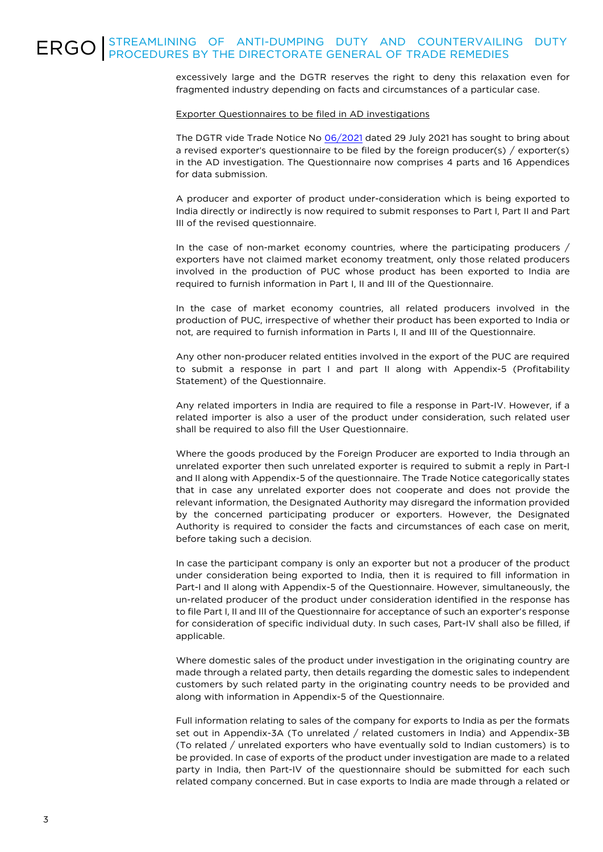excessively large and the DGTR reserves the right to deny this relaxation even for fragmented industry depending on facts and circumstances of a particular case.

#### Exporter Questionnaires to be filed in AD investigations

The DGTR vide Trade Notice No [06/2021](https://khaitanco.sharefile.com/share/view/sb053b8c150874bc38b7dde3480163e47) dated 29 July 2021 has sought to bring about a revised exporter's questionnaire to be filed by the foreign producer(s) / exporter(s) in the AD investigation. The Questionnaire now comprises 4 parts and 16 Appendices for data submission.

A producer and exporter of product under-consideration which is being exported to India directly or indirectly is now required to submit responses to Part I, Part II and Part III of the revised questionnaire.

In the case of non-market economy countries, where the participating producers / exporters have not claimed market economy treatment, only those related producers involved in the production of PUC whose product has been exported to India are required to furnish information in Part I, II and III of the Questionnaire.

In the case of market economy countries, all related producers involved in the production of PUC, irrespective of whether their product has been exported to India or not, are required to furnish information in Parts I, II and III of the Questionnaire.

Any other non-producer related entities involved in the export of the PUC are required to submit a response in part I and part II along with Appendix-5 (Profitability Statement) of the Questionnaire.

Any related importers in India are required to file a response in Part-IV. However, if a related importer is also a user of the product under consideration, such related user shall be required to also fill the User Questionnaire.

Where the goods produced by the Foreign Producer are exported to India through an unrelated exporter then such unrelated exporter is required to submit a reply in Part-I and II along with Appendix-5 of the questionnaire. The Trade Notice categorically states that in case any unrelated exporter does not cooperate and does not provide the relevant information, the Designated Authority may disregard the information provided by the concerned participating producer or exporters. However, the Designated Authority is required to consider the facts and circumstances of each case on merit, before taking such a decision.

In case the participant company is only an exporter but not a producer of the product under consideration being exported to India, then it is required to fill information in Part-I and II along with Appendix-5 of the Questionnaire. However, simultaneously, the un-related producer of the product under consideration identified in the response has to file Part I, II and III of the Questionnaire for acceptance of such an exporter's response for consideration of specific individual duty. In such cases, Part-IV shall also be filled, if applicable.

Where domestic sales of the product under investigation in the originating country are made through a related party, then details regarding the domestic sales to independent customers by such related party in the originating country needs to be provided and along with information in Appendix-5 of the Questionnaire.

Full information relating to sales of the company for exports to India as per the formats set out in Appendix-3A (To unrelated / related customers in India) and Appendix-3B (To related / unrelated exporters who have eventually sold to Indian customers) is to be provided. In case of exports of the product under investigation are made to a related party in India, then Part-IV of the questionnaire should be submitted for each such related company concerned. But in case exports to India are made through a related or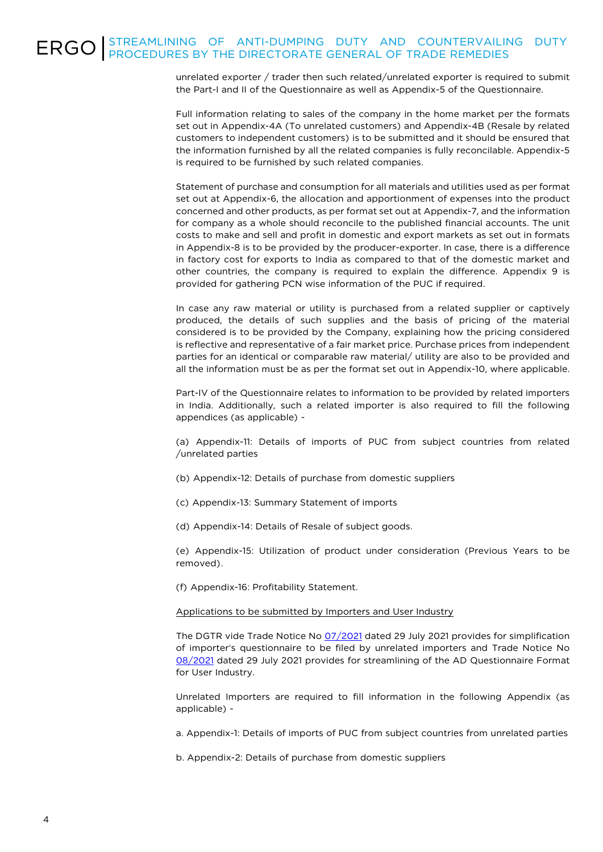## ERGO STREAMLINING OF ANTI-DUMPING DUTY AND COUNTERVAILING DUTY

unrelated exporter / trader then such related/unrelated exporter is required to submit the Part-I and II of the Questionnaire as well as Appendix-5 of the Questionnaire.

Full information relating to sales of the company in the home market per the formats set out in Appendix-4A (To unrelated customers) and Appendix-4B (Resale by related customers to independent customers) is to be submitted and it should be ensured that the information furnished by all the related companies is fully reconcilable. Appendix-5 is required to be furnished by such related companies.

Statement of purchase and consumption for all materials and utilities used as per format set out at Appendix-6, the allocation and apportionment of expenses into the product concerned and other products, as per format set out at Appendix-7, and the information for company as a whole should reconcile to the published financial accounts. The unit costs to make and sell and profit in domestic and export markets as set out in formats in Appendix-8 is to be provided by the producer-exporter. In case, there is a difference in factory cost for exports to India as compared to that of the domestic market and other countries, the company is required to explain the difference. Appendix 9 is provided for gathering PCN wise information of the PUC if required.

In case any raw material or utility is purchased from a related supplier or captively produced, the details of such supplies and the basis of pricing of the material considered is to be provided by the Company, explaining how the pricing considered is reflective and representative of a fair market price. Purchase prices from independent parties for an identical or comparable raw material/ utility are also to be provided and all the information must be as per the format set out in Appendix-10, where applicable.

Part-IV of the Questionnaire relates to information to be provided by related importers in India. Additionally, such a related importer is also required to fill the following appendices (as applicable) -

(a) Appendix-11: Details of imports of PUC from subject countries from related /unrelated parties

- (b) Appendix-12: Details of purchase from domestic suppliers
- (c) Appendix-13: Summary Statement of imports
- (d) Appendix-14: Details of Resale of subject goods.

(e) Appendix-15: Utilization of product under consideration (Previous Years to be removed).

(f) Appendix-16: Profitability Statement.

#### Applications to be submitted by Importers and User Industry

The DGTR vide Trade Notice No [07/2021](https://khaitanco.sharefile.com/share/view/s13c4662675ef4b14acfa8e39312b97ee) dated 29 July 2021 provides for simplification of importer's questionnaire to be filed by unrelated importers and Trade Notice No [08/2021](https://khaitanco.sharefile.com/share/view/sed997f474fcd4ee18c152b26f6495b89) dated 29 July 2021 provides for streamlining of the AD Questionnaire Format for User Industry.

Unrelated Importers are required to fill information in the following Appendix (as applicable) -

a. Appendix-1: Details of imports of PUC from subject countries from unrelated parties

b. Appendix-2: Details of purchase from domestic suppliers